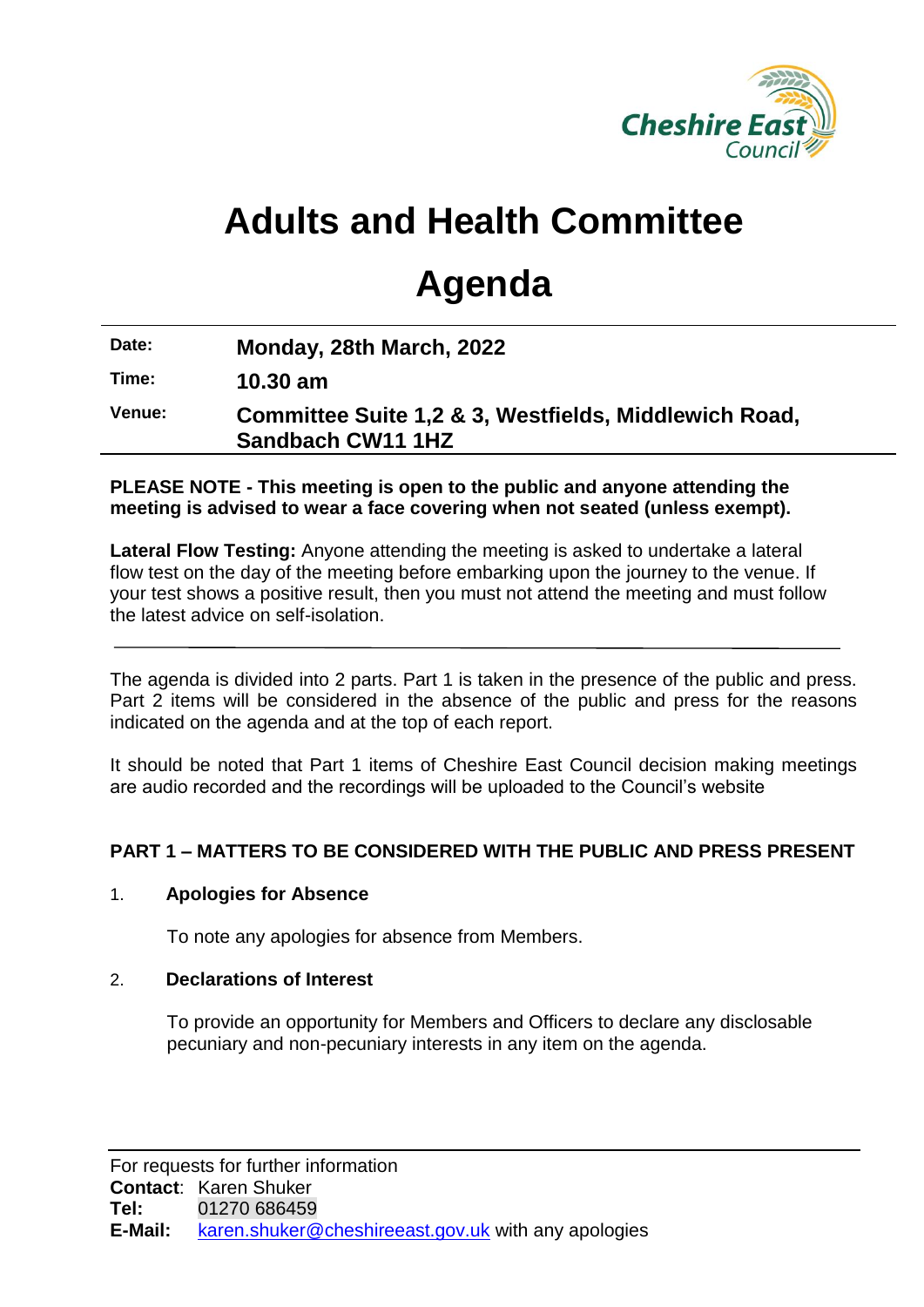

# **Adults and Health Committee**

# **Agenda**

**Date: Monday, 28th March, 2022**

**Time: 10.30 am**

**Venue: Committee Suite 1,2 & 3, Westfields, Middlewich Road, Sandbach CW11 1HZ**

### **PLEASE NOTE - This meeting is open to the public and anyone attending the meeting is advised to wear a face covering when not seated (unless exempt).**

**Lateral Flow Testing:** Anyone attending the meeting is asked to undertake a lateral flow test on the day of the meeting before embarking upon the journey to the venue. If your test shows a positive result, then you must not attend the meeting and must follow the latest advice on self-isolation.

The agenda is divided into 2 parts. Part 1 is taken in the presence of the public and press. Part 2 items will be considered in the absence of the public and press for the reasons indicated on the agenda and at the top of each report.

It should be noted that Part 1 items of Cheshire East Council decision making meetings are audio recorded and the recordings will be uploaded to the Council's website

# **PART 1 – MATTERS TO BE CONSIDERED WITH THE PUBLIC AND PRESS PRESENT**

# 1. **Apologies for Absence**

To note any apologies for absence from Members.

## 2. **Declarations of Interest**

To provide an opportunity for Members and Officers to declare any disclosable pecuniary and non-pecuniary interests in any item on the agenda.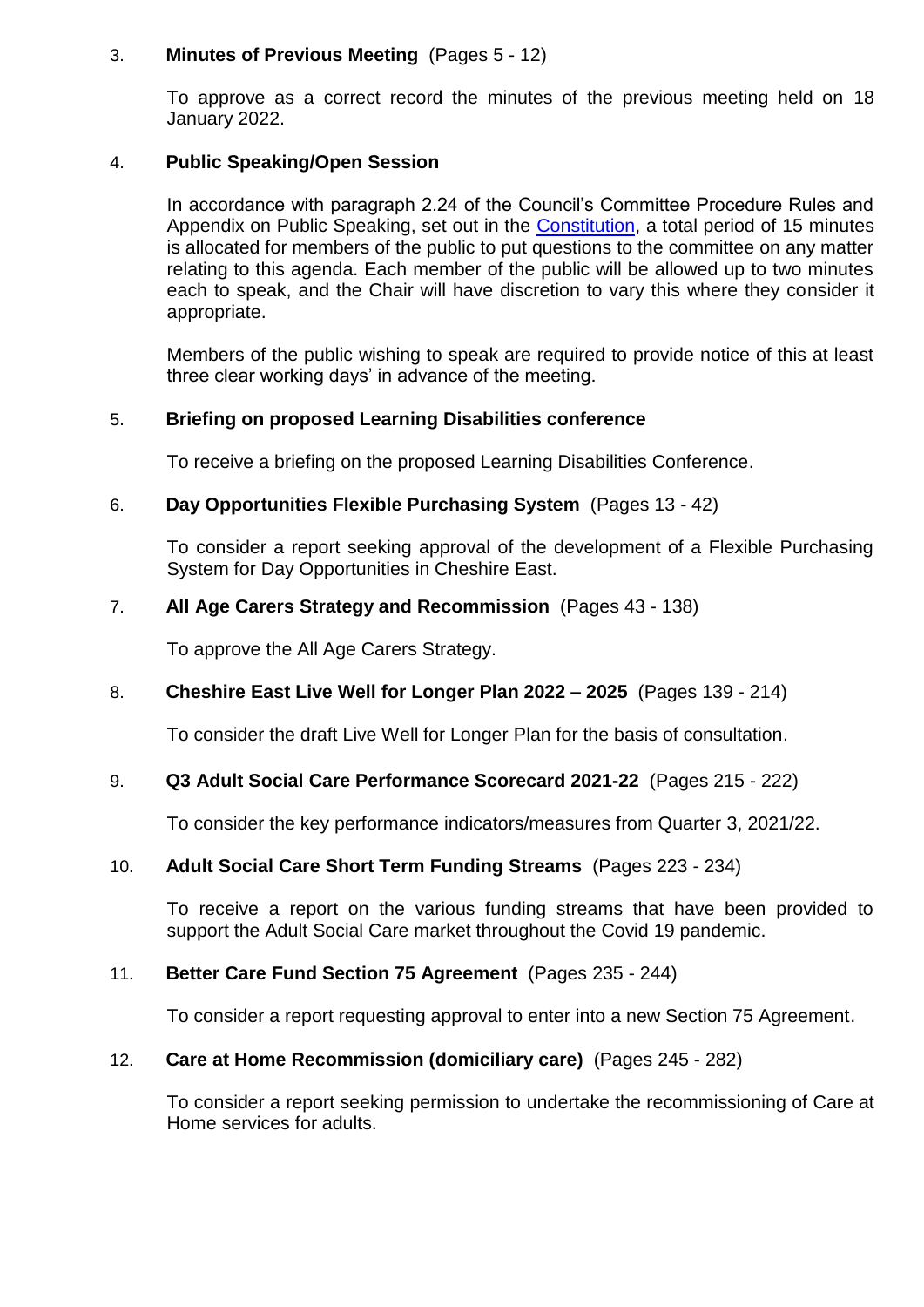### 3. **Minutes of Previous Meeting** (Pages 5 - 12)

To approve as a correct record the minutes of the previous meeting held on 18 January 2022.

## 4. **Public Speaking/Open Session**

In accordance with paragraph 2.24 of the Council's Committee Procedure Rules and Appendix on Public Speaking, set out in the [Constitution,](https://www.cheshireeast.gov.uk/council_and_democracy/your_council/constitution.aspx) a total period of 15 minutes is allocated for members of the public to put questions to the committee on any matter relating to this agenda. Each member of the public will be allowed up to two minutes each to speak, and the Chair will have discretion to vary this where they consider it appropriate.

Members of the public wishing to speak are required to provide notice of this at least three clear working days' in advance of the meeting.

## 5. **Briefing on proposed Learning Disabilities conference**

To receive a briefing on the proposed Learning Disabilities Conference.

## 6. **Day Opportunities Flexible Purchasing System** (Pages 13 - 42)

To consider a report seeking approval of the development of a Flexible Purchasing System for Day Opportunities in Cheshire East.

## 7. **All Age Carers Strategy and Recommission** (Pages 43 - 138)

To approve the All Age Carers Strategy.

#### 8. **Cheshire East Live Well for Longer Plan 2022 – 2025** (Pages 139 - 214)

To consider the draft Live Well for Longer Plan for the basis of consultation.

#### 9. **Q3 Adult Social Care Performance Scorecard 2021-22** (Pages 215 - 222)

To consider the key performance indicators/measures from Quarter 3, 2021/22.

#### 10. **Adult Social Care Short Term Funding Streams** (Pages 223 - 234)

To receive a report on the various funding streams that have been provided to support the Adult Social Care market throughout the Covid 19 pandemic.

# 11. **Better Care Fund Section 75 Agreement** (Pages 235 - 244)

To consider a report requesting approval to enter into a new Section 75 Agreement.

#### 12. **Care at Home Recommission (domiciliary care)** (Pages 245 - 282)

To consider a report seeking permission to undertake the recommissioning of Care at Home services for adults.